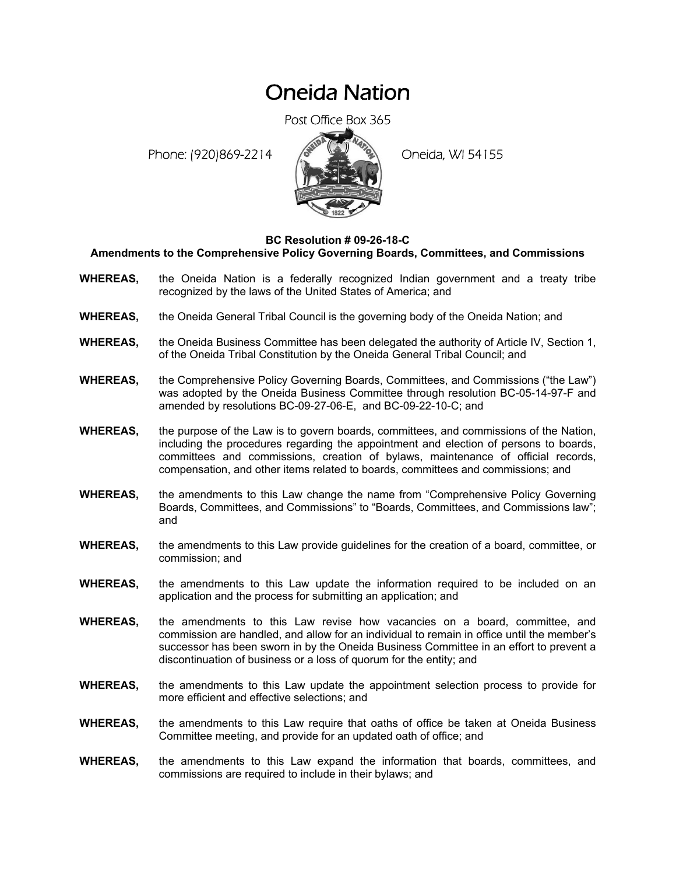## Oneida Nation

Post Office Box 365

Phone: (920)869-2214 (8 April 20 Oneida, WI 54155



## **BC Resolution # 09-26-18-C**

**Amendments to the Comprehensive Policy Governing Boards, Committees, and Commissions** 

- **WHEREAS,** the Oneida Nation is a federally recognized Indian government and a treaty tribe recognized by the laws of the United States of America; and
- **WHEREAS,** the Oneida General Tribal Council is the governing body of the Oneida Nation; and
- **WHEREAS,** the Oneida Business Committee has been delegated the authority of Article IV, Section 1, of the Oneida Tribal Constitution by the Oneida General Tribal Council; and
- **WHEREAS,** the Comprehensive Policy Governing Boards, Committees, and Commissions ("the Law") was adopted by the Oneida Business Committee through resolution BC-05-14-97-F and amended by resolutions BC-09-27-06-E, and BC-09-22-10-C; and
- **WHEREAS,** the purpose of the Law is to govern boards, committees, and commissions of the Nation, including the procedures regarding the appointment and election of persons to boards, committees and commissions, creation of bylaws, maintenance of official records, compensation, and other items related to boards, committees and commissions; and
- **WHEREAS,** the amendments to this Law change the name from "Comprehensive Policy Governing Boards, Committees, and Commissions" to "Boards, Committees, and Commissions law"; and
- **WHEREAS,** the amendments to this Law provide guidelines for the creation of a board, committee, or commission; and
- **WHEREAS,** the amendments to this Law update the information required to be included on an application and the process for submitting an application; and
- **WHEREAS,** the amendments to this Law revise how vacancies on a board, committee, and commission are handled, and allow for an individual to remain in office until the member's successor has been sworn in by the Oneida Business Committee in an effort to prevent a discontinuation of business or a loss of quorum for the entity; and
- **WHEREAS,** the amendments to this Law update the appointment selection process to provide for more efficient and effective selections; and
- **WHEREAS,** the amendments to this Law require that oaths of office be taken at Oneida Business Committee meeting, and provide for an updated oath of office; and
- **WHEREAS,** the amendments to this Law expand the information that boards, committees, and commissions are required to include in their bylaws; and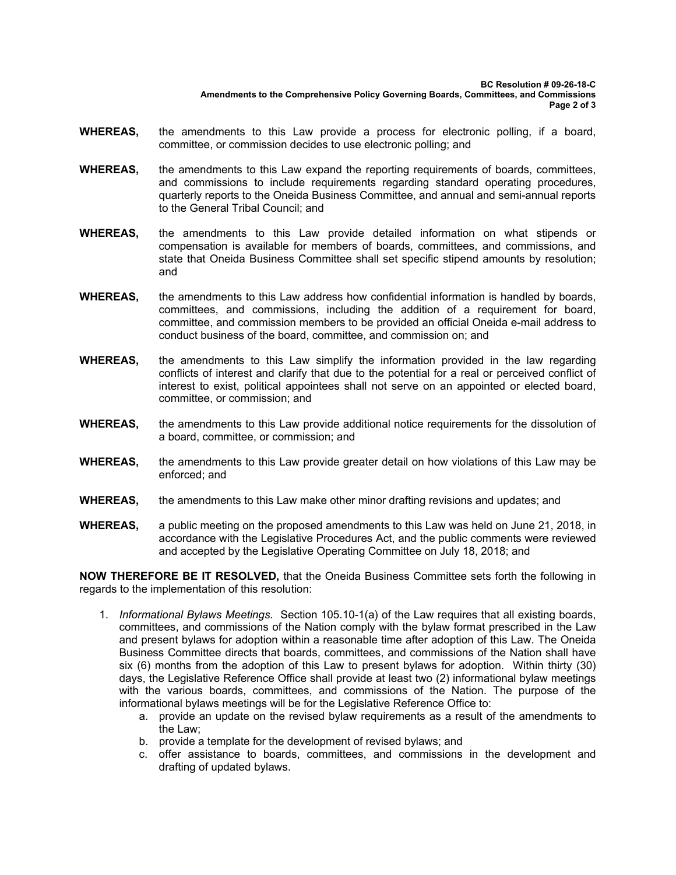- **WHEREAS,** the amendments to this Law provide a process for electronic polling, if a board, committee, or commission decides to use electronic polling; and
- **WHEREAS,** the amendments to this Law expand the reporting requirements of boards, committees, and commissions to include requirements regarding standard operating procedures, quarterly reports to the Oneida Business Committee, and annual and semi-annual reports to the General Tribal Council; and
- **WHEREAS,** the amendments to this Law provide detailed information on what stipends or compensation is available for members of boards, committees, and commissions, and state that Oneida Business Committee shall set specific stipend amounts by resolution; and
- **WHEREAS,** the amendments to this Law address how confidential information is handled by boards, committees, and commissions, including the addition of a requirement for board, committee, and commission members to be provided an official Oneida e-mail address to conduct business of the board, committee, and commission on; and
- **WHEREAS,** the amendments to this Law simplify the information provided in the law regarding conflicts of interest and clarify that due to the potential for a real or perceived conflict of interest to exist, political appointees shall not serve on an appointed or elected board, committee, or commission; and
- **WHEREAS,** the amendments to this Law provide additional notice requirements for the dissolution of a board, committee, or commission; and
- **WHEREAS,** the amendments to this Law provide greater detail on how violations of this Law may be enforced; and
- **WHEREAS,** the amendments to this Law make other minor drafting revisions and updates; and
- **WHEREAS,** a public meeting on the proposed amendments to this Law was held on June 21, 2018, in accordance with the Legislative Procedures Act, and the public comments were reviewed and accepted by the Legislative Operating Committee on July 18, 2018; and

**NOW THEREFORE BE IT RESOLVED,** that the Oneida Business Committee sets forth the following in regards to the implementation of this resolution:

- 1. *Informational Bylaws Meetings.* Section 105.10-1(a) of the Law requires that all existing boards, committees, and commissions of the Nation comply with the bylaw format prescribed in the Law and present bylaws for adoption within a reasonable time after adoption of this Law. The Oneida Business Committee directs that boards, committees, and commissions of the Nation shall have six (6) months from the adoption of this Law to present bylaws for adoption. Within thirty (30) days, the Legislative Reference Office shall provide at least two (2) informational bylaw meetings with the various boards, committees, and commissions of the Nation. The purpose of the informational bylaws meetings will be for the Legislative Reference Office to:
	- a. provide an update on the revised bylaw requirements as a result of the amendments to the Law;
	- b. provide a template for the development of revised bylaws; and
	- c. offer assistance to boards, committees, and commissions in the development and drafting of updated bylaws.